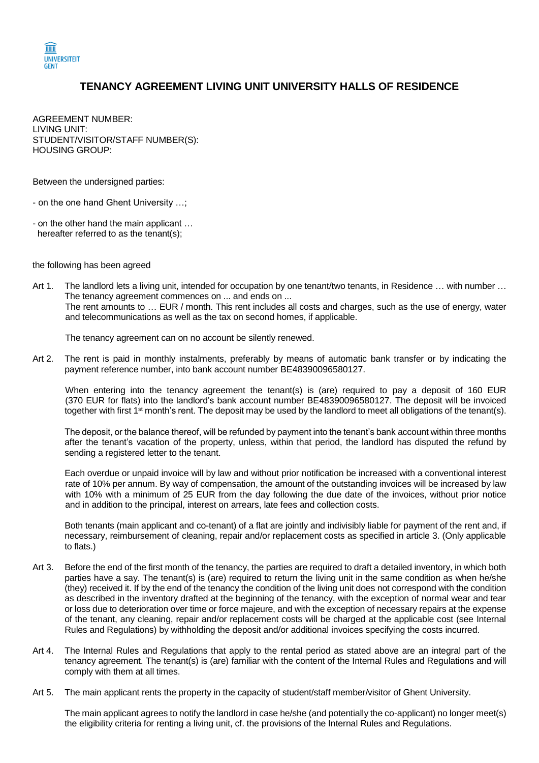

## **TENANCY AGREEMENT LIVING UNIT UNIVERSITY HALLS OF RESIDENCE**

AGREEMENT NUMBER: LIVING UNIT: STUDENT/VISITOR/STAFF NUMBER(S): HOUSING GROUP:

Between the undersigned parties:

- on the one hand Ghent University …;
- on the other hand the main applicant … hereafter referred to as the tenant(s);

the following has been agreed

Art 1. The landlord lets a living unit, intended for occupation by one tenant/two tenants, in Residence … with number … The tenancy agreement commences on ... and ends on ... The rent amounts to … EUR / month. This rent includes all costs and charges, such as the use of energy, water and telecommunications as well as the tax on second homes, if applicable.

The tenancy agreement can on no account be silently renewed.

Art 2. The rent is paid in monthly instalments, preferably by means of automatic bank transfer or by indicating the payment reference number, into bank account number BE48390096580127.

When entering into the tenancy agreement the tenant(s) is (are) required to pay a deposit of 160 EUR (370 EUR for flats) into the landlord's bank account number BE48390096580127. The deposit will be invoiced together with first 1<sup>st</sup> month's rent. The deposit may be used by the landlord to meet all obligations of the tenant(s).

The deposit, or the balance thereof, will be refunded by payment into the tenant's bank account within three months after the tenant's vacation of the property, unless, within that period, the landlord has disputed the refund by sending a registered letter to the tenant.

Each overdue or unpaid invoice will by law and without prior notification be increased with a conventional interest rate of 10% per annum. By way of compensation, the amount of the outstanding invoices will be increased by law with 10% with a minimum of 25 EUR from the day following the due date of the invoices, without prior notice and in addition to the principal, interest on arrears, late fees and collection costs.

Both tenants (main applicant and co-tenant) of a flat are jointly and indivisibly liable for payment of the rent and, if necessary, reimbursement of cleaning, repair and/or replacement costs as specified in article 3. (Only applicable to flats.)

- Art 3. Before the end of the first month of the tenancy, the parties are required to draft a detailed inventory, in which both parties have a say. The tenant(s) is (are) required to return the living unit in the same condition as when he/she (they) received it. If by the end of the tenancy the condition of the living unit does not correspond with the condition as described in the inventory drafted at the beginning of the tenancy, with the exception of normal wear and tear or loss due to deterioration over time or force majeure, and with the exception of necessary repairs at the expense of the tenant, any cleaning, repair and/or replacement costs will be charged at the applicable cost (see Internal Rules and Regulations) by withholding the deposit and/or additional invoices specifying the costs incurred.
- Art 4. The Internal Rules and Regulations that apply to the rental period as stated above are an integral part of the tenancy agreement. The tenant(s) is (are) familiar with the content of the Internal Rules and Regulations and will comply with them at all times.
- Art 5. The main applicant rents the property in the capacity of student/staff member/visitor of Ghent University.

The main applicant agrees to notify the landlord in case he/she (and potentially the co-applicant) no longer meet(s) the eligibility criteria for renting a living unit, cf. the provisions of the Internal Rules and Regulations.